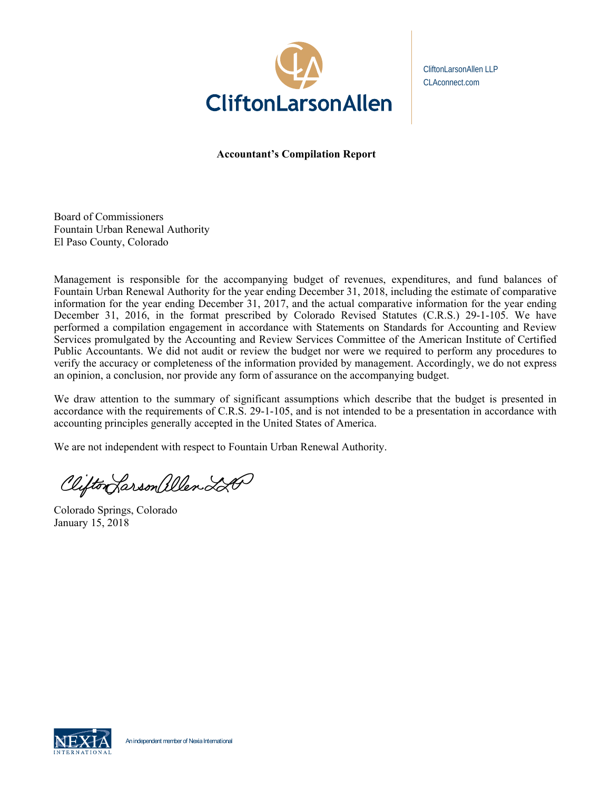

CliftonLarsonAllen LLP CLAconnect.com

**Accountant's Compilation Report** 

Board of Commissioners Fountain Urban Renewal Authority El Paso County, Colorado

Management is responsible for the accompanying budget of revenues, expenditures, and fund balances of Fountain Urban Renewal Authority for the year ending December 31, 2018, including the estimate of comparative information for the year ending December 31, 2017, and the actual comparative information for the year ending December 31, 2016, in the format prescribed by Colorado Revised Statutes (C.R.S.) 29-1-105. We have performed a compilation engagement in accordance with Statements on Standards for Accounting and Review Services promulgated by the Accounting and Review Services Committee of the American Institute of Certified Public Accountants. We did not audit or review the budget nor were we required to perform any procedures to verify the accuracy or completeness of the information provided by management. Accordingly, we do not express an opinion, a conclusion, nor provide any form of assurance on the accompanying budget.

We draw attention to the summary of significant assumptions which describe that the budget is presented in accordance with the requirements of C.R.S. 29-1-105, and is not intended to be a presentation in accordance with accounting principles generally accepted in the United States of America.

We are not independent with respect to Fountain Urban Renewal Authority.

Clifton Larson allen 220

Colorado Springs, Colorado January 15, 2018

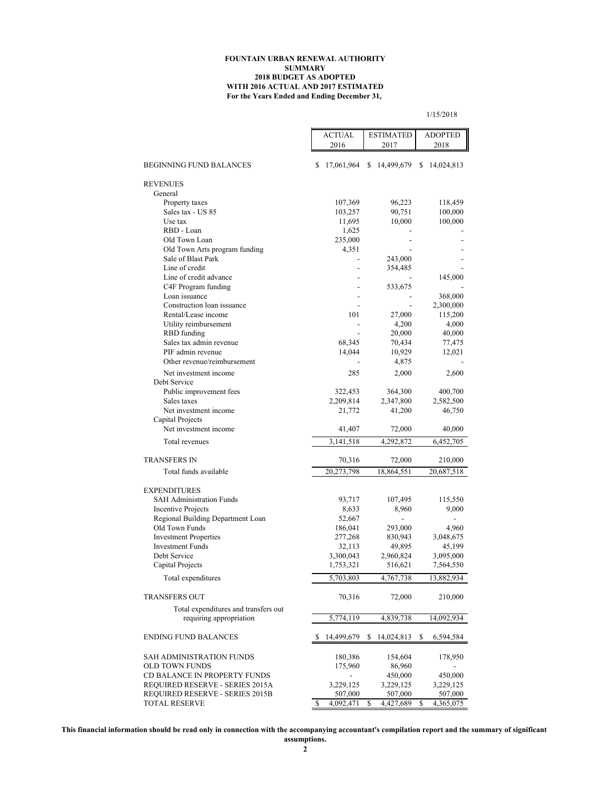#### **For the Years Ended and Ending December 31, FOUNTAIN URBAN RENEWAL AUTHORITY SUMMARY 2018 BUDGET AS ADOPTED WITH 2016 ACTUAL AND 2017 ESTIMATED**

|                                   | <b>ACTUAL</b>   | <b>ESTIMATED</b> | <b>ADOPTED</b>  |  |  |  |  |
|-----------------------------------|-----------------|------------------|-----------------|--|--|--|--|
|                                   | 2016            | 2017             | 2018            |  |  |  |  |
|                                   |                 |                  |                 |  |  |  |  |
| BEGINNING FUND BALANCES           | 17,061,964<br>S | \$<br>14,499,679 | S<br>14,024,813 |  |  |  |  |
| <b>REVENUES</b>                   |                 |                  |                 |  |  |  |  |
| General                           |                 |                  |                 |  |  |  |  |
| Property taxes                    | 107,369         | 96,223           | 118,459         |  |  |  |  |
| Sales tax - US 85                 | 103,257         | 90,751           | 100,000         |  |  |  |  |
| Use tax                           | 11,695          | 10,000           | 100,000         |  |  |  |  |
| RBD - Loan                        | 1,625           |                  |                 |  |  |  |  |
| Old Town Loan                     | 235,000         |                  |                 |  |  |  |  |
| Old Town Arts program funding     | 4,351           |                  |                 |  |  |  |  |
| Sale of Blast Park                |                 | 243,000          |                 |  |  |  |  |
| Line of credit                    |                 | 354,485          |                 |  |  |  |  |
| Line of credit advance            |                 |                  | 145,000         |  |  |  |  |
| C4F Program funding               |                 | 533,675          |                 |  |  |  |  |
| Loan issuance                     |                 |                  | 368,000         |  |  |  |  |
| Construction loan issuance        |                 |                  | 2,300,000       |  |  |  |  |
| Rental/Lease income               | 101             | 27,000           | 115,200         |  |  |  |  |
| Utility reimbursement             |                 | 4,200            | 4,000           |  |  |  |  |
| RBD funding                       |                 | 20,000           | 40,000          |  |  |  |  |
| Sales tax admin revenue           | 68,345          | 70,434           | 77,475          |  |  |  |  |
| PIF admin revenue                 | 14,044          | 10,929           | 12,021          |  |  |  |  |
| Other revenue/reimbursement       |                 | 4,875            |                 |  |  |  |  |
| Net investment income             | 285             | 2,000            | 2,600           |  |  |  |  |
| Debt Service                      |                 |                  |                 |  |  |  |  |
| Public improvement fees           | 322,453         | 364,300          | 400,700         |  |  |  |  |
| Sales taxes                       | 2,209,814       | 2,347,800        | 2,582,500       |  |  |  |  |
| Net investment income             | 21,772          | 41,200           | 46,750          |  |  |  |  |
| Capital Projects                  |                 |                  |                 |  |  |  |  |
| Net investment income             | 41,407          | 72,000           | 40,000          |  |  |  |  |
| Total revenues                    | 3,141,518       | 4,292,872        | 6,452,705       |  |  |  |  |
| <b>TRANSFERS IN</b>               | 70,316          | 72,000           | 210,000         |  |  |  |  |
| Total funds available             | 20,273,798      | 18,864,551       | 20,687,518      |  |  |  |  |
|                                   |                 |                  |                 |  |  |  |  |
| <b>EXPENDITURES</b>               |                 |                  |                 |  |  |  |  |
| <b>SAH Administration Funds</b>   | 93,717          | 107,495          | 115,550         |  |  |  |  |
| <b>Incentive Projects</b>         | 8,633           | 8,960            | 9,000           |  |  |  |  |
| Regional Building Department Loan | 52,667          |                  |                 |  |  |  |  |

1/15/2018

| 73, 111    | 107,493                                                      | 113,330                                                                |
|------------|--------------------------------------------------------------|------------------------------------------------------------------------|
| 8,633      | 8,960                                                        | 9,000                                                                  |
| 52,667     |                                                              |                                                                        |
| 186,041    | 293,000                                                      | 4,960                                                                  |
| 277,268    | 830,943                                                      | 3,048,675                                                              |
| 32,113     | 49,895                                                       | 45,199                                                                 |
| 3,300,043  | 2,960,824                                                    | 3,095,000                                                              |
| 1,753,321  | 516,621                                                      | 7,564,550                                                              |
| 5,703,803  | 4,767,738                                                    | 13,882,934                                                             |
| 70,316     | 72,000                                                       | 210,000                                                                |
|            |                                                              |                                                                        |
| 5,774,119  | 4,839,738                                                    | 14,092,934                                                             |
| 14,499,679 | 14,024,813<br>S.                                             | 6,594,584<br>\$                                                        |
|            |                                                              |                                                                        |
|            |                                                              | 178,950                                                                |
|            |                                                              |                                                                        |
|            |                                                              | 450,000                                                                |
|            |                                                              | 3,229,125                                                              |
|            |                                                              | 507,000                                                                |
|            |                                                              | \$<br>4,365,075                                                        |
|            | 180,386<br>175,960<br>3,229,125<br>507,000<br>S<br>4,092,471 | 154,604<br>86,960<br>450,000<br>3,229,125<br>507,000<br>S<br>4,427,689 |

**This financial information should be read only in connection with the accompanying accountant's compilation report and the summary of significant**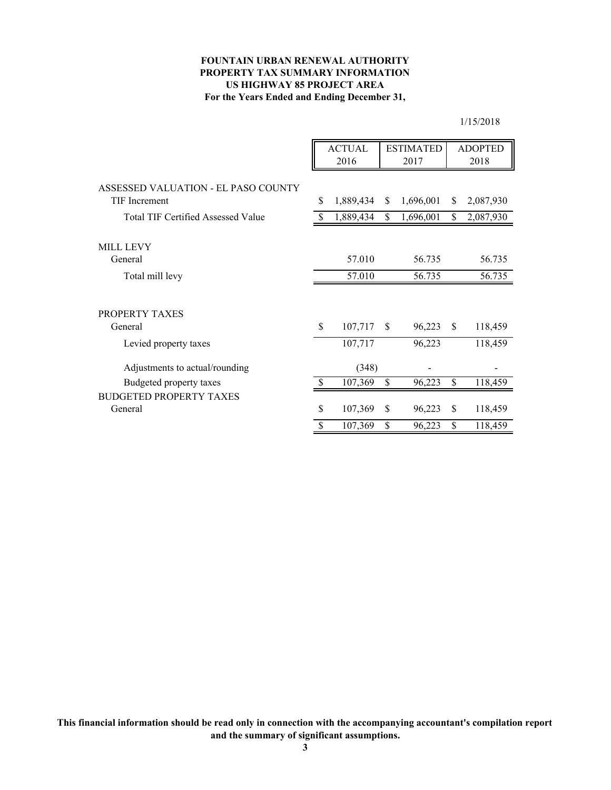# **FOUNTAIN URBAN RENEWAL AUTHORITY PROPERTY TAX SUMMARY INFORMATION For the Years Ended and Ending December 31, US HIGHWAY 85 PROJECT AREA**

1/15/2018

|                                           |                    | <b>ACTUAL</b> |               | <b>ESTIMATED</b> |               | <b>ADOPTED</b> |
|-------------------------------------------|--------------------|---------------|---------------|------------------|---------------|----------------|
|                                           |                    | 2016          |               | 2017             |               | 2018           |
| ASSESSED VALUATION - EL PASO COUNTY       |                    |               |               |                  |               |                |
| TIF Increment                             | \$                 | 1,889,434     | \$            | 1,696,001        | \$            | 2,087,930      |
| <b>Total TIF Certified Assessed Value</b> |                    | 1,889,434     | \$            | 1,696,001        | \$            | 2,087,930      |
|                                           |                    |               |               |                  |               |                |
| <b>MILL LEVY</b><br>General               |                    | 57.010        |               | 56.735           |               | 56.735         |
| Total mill levy                           |                    | 57.010        |               | 56.735           |               | 56.735         |
|                                           |                    |               |               |                  |               |                |
| PROPERTY TAXES                            |                    |               |               |                  |               |                |
| General                                   | $\mathbf{\hat{S}}$ | 107,717       | <sup>\$</sup> | 96,223           | <sup>\$</sup> | 118,459        |
| Levied property taxes                     |                    | 107,717       |               | 96,223           |               | 118,459        |
| Adjustments to actual/rounding            |                    | (348)         |               |                  |               |                |
| Budgeted property taxes                   | \$.                | 107,369       | \$            | 96,223           | \$            | 118,459        |
| <b>BUDGETED PROPERTY TAXES</b>            |                    |               |               |                  |               |                |
| General                                   | \$                 | 107,369       | \$            | 96,223           | \$            | 118,459        |
|                                           | $\mathcal{S}$      | 107,369       | \$            | 96,223           | \$            | 118,459        |

**This financial information should be read only in connection with the accompanying accountant's compilation report and the summary of significant assumptions.**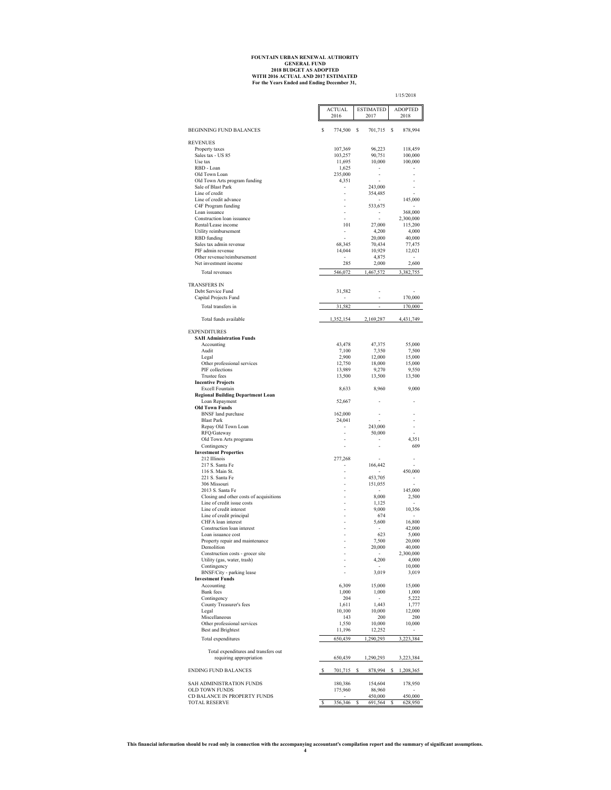# **For the Years Ended and Ending December 31, FOUNTAIN URBAN RENEWAL AUTHORITY GENERAL FUND 2018 BUDGET AS ADOPTED WITH 2016 ACTUAL AND 2017 ESTIMATED**

1/15/2018

|                                                                 |    | <b>ACTUAL</b><br>2016 | <b>ESTIMATED</b><br>2017 |   | <b>ADOPTED</b><br>2018 |
|-----------------------------------------------------------------|----|-----------------------|--------------------------|---|------------------------|
| <b>BEGINNING FUND BALANCES</b>                                  | s  | 774,500               | \$<br>701,715            | s | 878,994                |
| <b>REVENUES</b>                                                 |    |                       |                          |   |                        |
| Property taxes                                                  |    | 107,369               | 96,223                   |   | 118,459                |
| Sales tax - US 85                                               |    | 103,257               | 90,751                   |   | 100,000                |
| Use tax<br>RBD - Loan                                           |    | 11,695<br>1,625       | 10,000<br>٠              |   | 100,000                |
| Old Town Loan                                                   |    | 235,000               |                          |   |                        |
| Old Town Arts program funding                                   |    | 4,351                 |                          |   |                        |
| Sale of Blast Park                                              |    |                       | 243,000                  |   |                        |
| Line of credit<br>Line of credit advance                        |    |                       | 354,485                  |   | 145,000                |
| C4F Program funding                                             |    |                       | 533,675                  |   |                        |
| Loan issuance                                                   |    |                       | $\overline{\phantom{a}}$ |   | 368,000                |
| Construction loan issuance<br>Rental/Lease income               |    | 101                   | ٠<br>27,000              |   | 2,300,000<br>115,200   |
| Utility reimbursement                                           |    |                       | 4,200                    |   | 4,000                  |
| RBD funding                                                     |    |                       | 20,000                   |   | 40,000                 |
| Sales tax admin revenue                                         |    | 68,345                | 70,434                   |   | 77,475                 |
| PIF admin revenue<br>Other revenue/reimbursement                |    | 14,044                | 10,929<br>4,875          |   | 12,021                 |
| Net investment income                                           |    | 285                   | 2,000                    |   | 2,600                  |
| Total revenues                                                  |    | 546,072               | 1,467,572                |   | 382,755                |
|                                                                 |    |                       |                          |   |                        |
| <b>TRANSFERS IN</b>                                             |    |                       |                          |   |                        |
| Debt Service Fund<br>Capital Projects Fund                      |    | 31,582                |                          |   | 170,000                |
|                                                                 |    |                       |                          |   |                        |
| Total transfers in                                              |    | 31,582                | ÷,                       |   | 170,000                |
| Total funds available                                           |    | 1,352,154             | 2,169,287                |   | 4,431,749              |
| <b>EXPENDITURES</b>                                             |    |                       |                          |   |                        |
| <b>SAH Administration Funds</b>                                 |    |                       |                          |   |                        |
| Accounting<br>Audit                                             |    | 43,478<br>7,100       | 47,375                   |   | 55,000                 |
| Legal                                                           |    | 2,900                 | 7,350<br>12,000          |   | 7,500<br>15,000        |
| Other professional services                                     |    | 12,750                | 18,000                   |   | 15,000                 |
| PIF collections                                                 |    | 13,989                | 9,270                    |   | 9,550                  |
| <b>Trustee fees</b><br><b>Incentive Projects</b>                |    | 13,500                | 13,500                   |   | 13,500                 |
| Excell Fountain                                                 |    | 8,633                 | 8,960                    |   | 9,000                  |
| <b>Regional Building Department Loan</b><br>Loan Repayment      |    | 52,667                |                          |   |                        |
| <b>Old Town Funds</b>                                           |    |                       |                          |   |                        |
| <b>BNSF</b> land purchase                                       |    | 162,000               |                          |   |                        |
| <b>Blast Park</b><br>Repay Old Town Loan                        |    | 24,041                | 243,000                  |   | ä,                     |
| RFQ/Gateway                                                     |    |                       | 50,000                   |   |                        |
| Old Town Arts programs                                          |    |                       |                          |   | 4,351                  |
| Contingency                                                     |    |                       |                          |   | 609                    |
| <b>Investment Properties</b><br>212 Illinois                    |    | 277,268               |                          |   |                        |
| 217 S. Santa Fe                                                 |    |                       | 166,442                  |   |                        |
| 116 S. Main St.                                                 |    |                       |                          |   | 450,000                |
| 221 S. Santa Fe                                                 |    |                       | 453,705                  |   |                        |
| 306 Missouri<br>2013 S. Santa Fe                                |    |                       | 151,055                  |   | 145,000                |
| Closing and other costs of acquisitions                         |    |                       | 8,000                    |   | 2,500                  |
| Line of credit issue costs                                      |    |                       | 1,125                    |   | ٠                      |
| Line of credit interest                                         |    |                       | 9,000                    |   | 10,356                 |
| Line of credit principal<br>CHFA loan interest                  |    |                       | 674<br>5,600             |   | ÷.<br>16,800           |
| Construction loan interest                                      |    |                       |                          |   | 42,000                 |
| Loan issuance cost                                              |    |                       | 623                      |   | 5,000                  |
| Property repair and maintenance                                 |    | i,                    | 7,500                    |   | 20,000                 |
| Demolition<br>Construction costs - grocer site                  |    | ä,                    | 20,000                   |   | 40,000<br>2,300,000    |
| Utility (gas, water, trash)                                     |    |                       | 4,200                    |   | 4,000                  |
| Contingency                                                     |    |                       |                          |   | 10,000                 |
| BNSF/City - parking lease<br><b>Investment Funds</b>            |    |                       | 3,019                    |   | 3,019                  |
| Accounting                                                      |    | 6,309                 | 15,000                   |   | 15,000                 |
| Bank fees                                                       |    | 1,000                 | 1,000                    |   | 1,000                  |
| Contingency<br>County Treasurer's fees                          |    | 204<br>1,611          | 1,443                    |   | 5,222<br>1,777         |
| Legal                                                           |    | 10,100                | 10,000                   |   | 12,000                 |
| Miscellaneous                                                   |    | 143                   | 200                      |   | 200                    |
| Other professional services                                     |    | 1,550                 | 10,000                   |   | 10,000                 |
| <b>Best and Brightest</b>                                       |    | 11,196                | 12,252                   |   |                        |
| Total expenditures                                              |    | 650,439               | 1,290,293                |   | 3,223,384              |
| Total expenditures and transfers out<br>requiring appropriation |    | 650,439               | 1,290,293                |   | 3,223,384              |
| <b>ENDING FUND BALANCES</b>                                     | s  | 701,715               | \$<br>878,994            | s | 1,208,365              |
|                                                                 |    |                       |                          |   |                        |
| SAH ADMINISTRATION FUNDS<br>OLD TOWN FUNDS                      |    | 180,386<br>175,960    | 154,604<br>86,960        |   | 178,950                |
| CD BALANCE IN PROPERTY FUNDS                                    |    |                       | 450,000                  |   | 450,000                |
| <b>TOTAL RESERVE</b>                                            | -S | 356,346               | 691,564                  |   | 628,950                |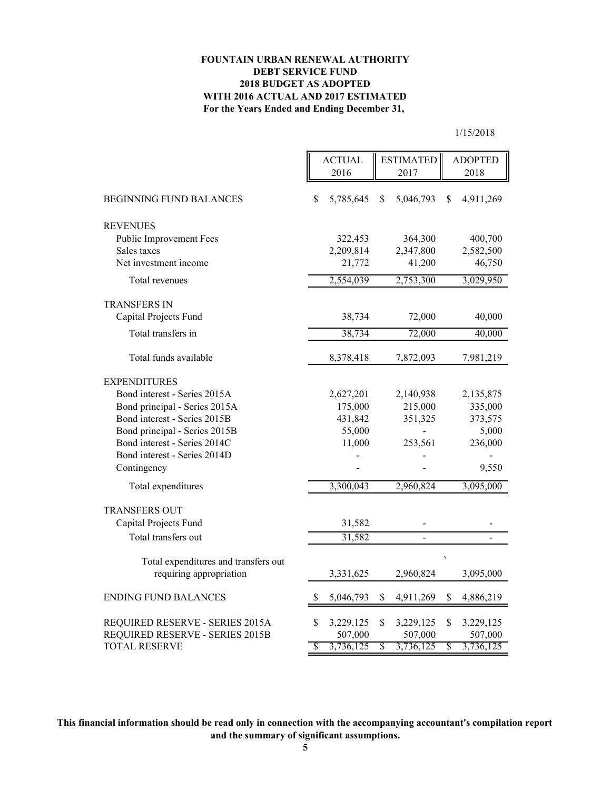# **FOUNTAIN URBAN RENEWAL AUTHORITY DEBT SERVICE FUND 2018 BUDGET AS ADOPTED WITH 2016 ACTUAL AND 2017 ESTIMATED For the Years Ended and Ending December 31,**

1/15/2018

|                                                                    |    | <b>ACTUAL</b><br>2016 | <b>ESTIMATED</b><br>2017   |    | <b>ADOPTED</b><br>2018 |  |
|--------------------------------------------------------------------|----|-----------------------|----------------------------|----|------------------------|--|
| <b>BEGINNING FUND BALANCES</b>                                     | \$ | 5,785,645             | \$<br>5,046,793            | \$ | 4,911,269              |  |
| <b>REVENUES</b>                                                    |    |                       |                            |    |                        |  |
| Public Improvement Fees                                            |    | 322,453               | 364,300                    |    | 400,700                |  |
| Sales taxes                                                        |    | 2,209,814             | 2,347,800                  |    | 2,582,500              |  |
| Net investment income                                              |    | 21,772                | 41,200                     |    | 46,750                 |  |
| Total revenues                                                     |    | 2,554,039             | 2,753,300                  |    | 3,029,950              |  |
| <b>TRANSFERS IN</b>                                                |    |                       |                            |    |                        |  |
| Capital Projects Fund                                              |    | 38,734                | 72,000                     |    | 40,000                 |  |
| Total transfers in                                                 |    | 38,734                | 72,000                     |    | 40,000                 |  |
| Total funds available                                              |    | 8,378,418             | 7,872,093                  |    | 7,981,219              |  |
| <b>EXPENDITURES</b>                                                |    |                       |                            |    |                        |  |
| Bond interest - Series 2015A                                       |    | 2,627,201             | 2,140,938                  |    | 2,135,875              |  |
| Bond principal - Series 2015A                                      |    | 175,000               | 215,000                    |    | 335,000                |  |
| Bond interest - Series 2015B                                       |    | 431,842               | 351,325                    |    | 373,575                |  |
| Bond principal - Series 2015B                                      |    | 55,000                |                            |    | 5,000                  |  |
| Bond interest - Series 2014C                                       |    | 11,000                | 253,561                    |    | 236,000                |  |
| Bond interest - Series 2014D                                       |    |                       |                            |    |                        |  |
| Contingency                                                        |    |                       |                            |    | 9,550                  |  |
| Total expenditures                                                 |    | 3,300,043             | 2,960,824                  |    | 3,095,000              |  |
| <b>TRANSFERS OUT</b>                                               |    |                       |                            |    |                        |  |
| Capital Projects Fund                                              |    | 31,582                |                            |    |                        |  |
| Total transfers out                                                |    | 31,582                | $\overline{a}$             |    |                        |  |
| Total expenditures and transfers out                               |    |                       |                            |    |                        |  |
| requiring appropriation                                            |    | 3,331,625             | 2,960,824                  |    | 3,095,000              |  |
| <b>ENDING FUND BALANCES</b>                                        | S  | 5,046,793             | \$<br>4,911,269            | \$ | 4,886,219              |  |
|                                                                    |    |                       |                            |    |                        |  |
| REQUIRED RESERVE - SERIES 2015A<br>REQUIRED RESERVE - SERIES 2015B | \$ | 3,229,125<br>507,000  | \$<br>3,229,125<br>507,000 | \$ | 3,229,125<br>507,000   |  |
| <b>TOTAL RESERVE</b>                                               | \$ | 3,736,125             | \$<br>3,736,125            | \$ | 3,736,125              |  |
|                                                                    |    |                       |                            |    |                        |  |

**This financial information should be read only in connection with the accompanying accountant's compilation report and the summary of significant assumptions.**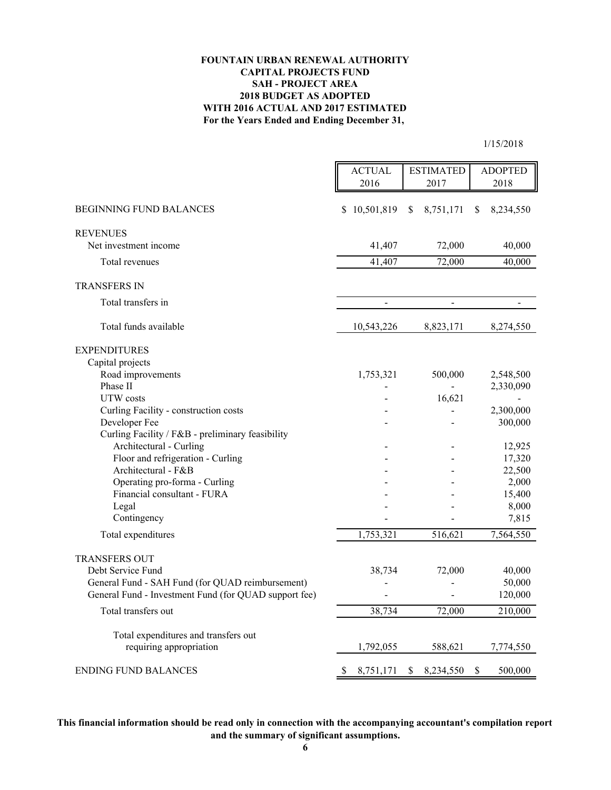### **For the Years Ended and Ending December 31, FOUNTAIN URBAN RENEWAL AUTHORITY CAPITAL PROJECTS FUND 2018 BUDGET AS ADOPTED WITH 2016 ACTUAL AND 2017 ESTIMATED SAH - PROJECT AREA**

1/15/2018

|                                                                             | <b>ACTUAL</b>   | <b>ESTIMATED</b> | <b>ADOPTED</b>   |
|-----------------------------------------------------------------------------|-----------------|------------------|------------------|
|                                                                             | 2016            | 2017             | 2018             |
| BEGINNING FUND BALANCES                                                     | \$10,501,819    | \$<br>8,751,171  | \$<br>8,234,550  |
| <b>REVENUES</b>                                                             |                 |                  |                  |
| Net investment income                                                       | 41,407          | 72,000           | 40,000           |
| Total revenues                                                              | 41,407          | 72,000           | 40,000           |
| <b>TRANSFERS IN</b>                                                         |                 |                  |                  |
| Total transfers in                                                          | $\Box$          | $\overline{a}$   | $\overline{a}$   |
| Total funds available                                                       | 10,543,226      | 8,823,171        | 8,274,550        |
| <b>EXPENDITURES</b>                                                         |                 |                  |                  |
| Capital projects                                                            |                 |                  |                  |
| Road improvements                                                           | 1,753,321       | 500,000          | 2,548,500        |
| Phase II                                                                    |                 |                  | 2,330,090        |
| UTW costs                                                                   |                 | 16,621           |                  |
| Curling Facility - construction costs                                       |                 |                  | 2,300,000        |
| Developer Fee                                                               |                 |                  | 300,000          |
| Curling Facility / F&B - preliminary feasibility<br>Architectural - Curling |                 |                  |                  |
| Floor and refrigeration - Curling                                           |                 |                  | 12,925<br>17,320 |
| Architectural - F&B                                                         |                 |                  | 22,500           |
| Operating pro-forma - Curling                                               |                 |                  | 2,000            |
| Financial consultant - FURA                                                 |                 |                  | 15,400           |
| Legal                                                                       |                 |                  | 8,000            |
| Contingency                                                                 |                 |                  | 7,815            |
| Total expenditures                                                          | 1,753,321       | 516,621          | 7,564,550        |
| <b>TRANSFERS OUT</b>                                                        |                 |                  |                  |
| Debt Service Fund                                                           | 38,734          | 72,000           | 40,000           |
| General Fund - SAH Fund (for QUAD reimbursement)                            |                 |                  | 50,000           |
| General Fund - Investment Fund (for QUAD support fee)                       |                 |                  | 120,000          |
| Total transfers out                                                         | 38,734          | 72,000           | 210,000          |
|                                                                             |                 |                  |                  |
| Total expenditures and transfers out<br>requiring appropriation             | 1,792,055       | 588,621          | 7,774,550        |
| <b>ENDING FUND BALANCES</b>                                                 | \$<br>8,751,171 | \$<br>8,234,550  | \$<br>500,000    |

**This financial information should be read only in connection with the accompanying accountant's compilation report and the summary of significant assumptions.**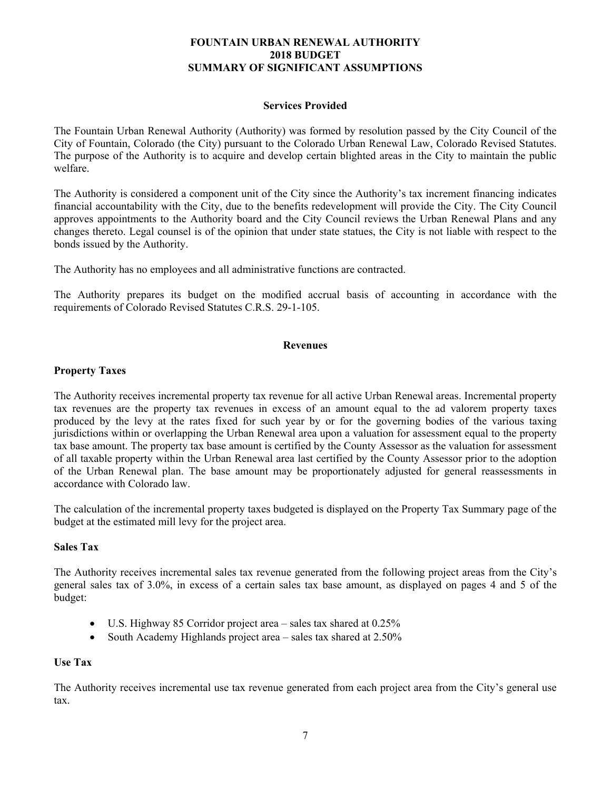#### **Services Provided**

The Fountain Urban Renewal Authority (Authority) was formed by resolution passed by the City Council of the City of Fountain, Colorado (the City) pursuant to the Colorado Urban Renewal Law, Colorado Revised Statutes. The purpose of the Authority is to acquire and develop certain blighted areas in the City to maintain the public welfare.

The Authority is considered a component unit of the City since the Authority's tax increment financing indicates financial accountability with the City, due to the benefits redevelopment will provide the City. The City Council approves appointments to the Authority board and the City Council reviews the Urban Renewal Plans and any changes thereto. Legal counsel is of the opinion that under state statues, the City is not liable with respect to the bonds issued by the Authority.

The Authority has no employees and all administrative functions are contracted.

The Authority prepares its budget on the modified accrual basis of accounting in accordance with the requirements of Colorado Revised Statutes C.R.S. 29-1-105.

#### **Revenues**

# **Property Taxes**

The Authority receives incremental property tax revenue for all active Urban Renewal areas. Incremental property tax revenues are the property tax revenues in excess of an amount equal to the ad valorem property taxes produced by the levy at the rates fixed for such year by or for the governing bodies of the various taxing jurisdictions within or overlapping the Urban Renewal area upon a valuation for assessment equal to the property tax base amount. The property tax base amount is certified by the County Assessor as the valuation for assessment of all taxable property within the Urban Renewal area last certified by the County Assessor prior to the adoption of the Urban Renewal plan. The base amount may be proportionately adjusted for general reassessments in accordance with Colorado law.

The calculation of the incremental property taxes budgeted is displayed on the Property Tax Summary page of the budget at the estimated mill levy for the project area.

#### **Sales Tax**

The Authority receives incremental sales tax revenue generated from the following project areas from the City's general sales tax of 3.0%, in excess of a certain sales tax base amount, as displayed on pages 4 and 5 of the budget:

- U.S. Highway 85 Corridor project area sales tax shared at 0.25%
- South Academy Highlands project area sales tax shared at 2.50%

#### **Use Tax**

The Authority receives incremental use tax revenue generated from each project area from the City's general use tax.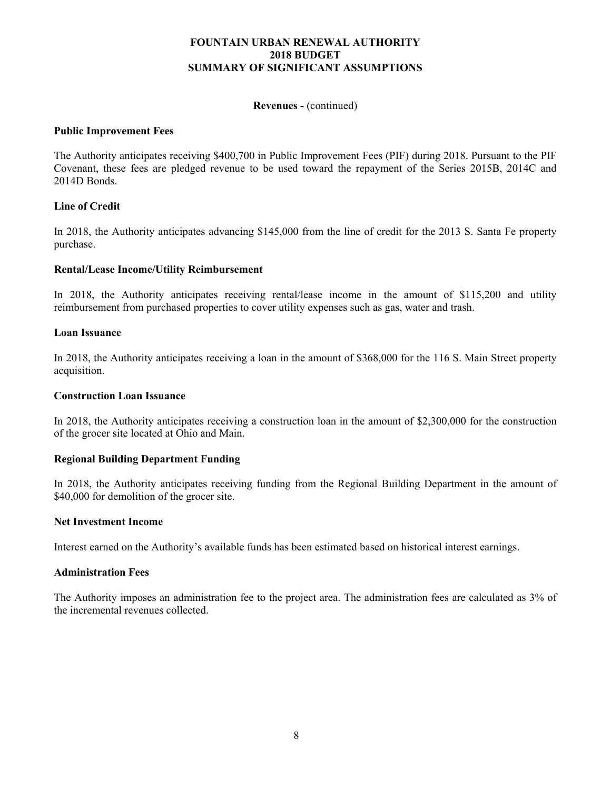#### **Revenues -** (continued)

## **Public Improvement Fees**

The Authority anticipates receiving \$400,700 in Public Improvement Fees (PIF) during 2018. Pursuant to the PIF Covenant, these fees are pledged revenue to be used toward the repayment of the Series 2015B, 2014C and 2014D Bonds.

# **Line of Credit**

In 2018, the Authority anticipates advancing \$145,000 from the line of credit for the 2013 S. Santa Fe property purchase.

# **Rental/Lease Income/Utility Reimbursement**

In 2018, the Authority anticipates receiving rental/lease income in the amount of \$115,200 and utility reimbursement from purchased properties to cover utility expenses such as gas, water and trash.

#### **Loan Issuance**

In 2018, the Authority anticipates receiving a loan in the amount of \$368,000 for the 116 S. Main Street property acquisition.

#### **Construction Loan Issuance**

In 2018, the Authority anticipates receiving a construction loan in the amount of \$2,300,000 for the construction of the grocer site located at Ohio and Main.

# **Regional Building Department Funding**

In 2018, the Authority anticipates receiving funding from the Regional Building Department in the amount of \$40,000 for demolition of the grocer site.

#### **Net Investment Income**

Interest earned on the Authority's available funds has been estimated based on historical interest earnings.

#### **Administration Fees**

The Authority imposes an administration fee to the project area. The administration fees are calculated as 3% of the incremental revenues collected.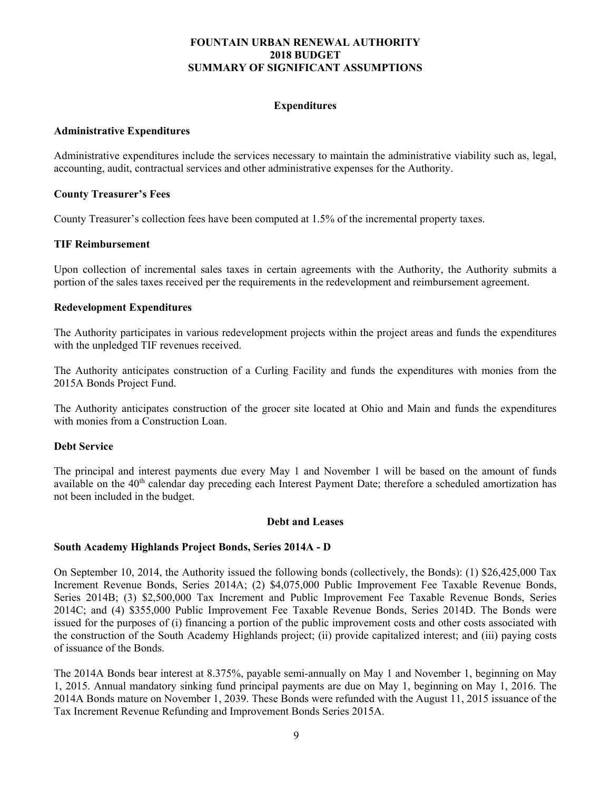# **Expenditures**

#### **Administrative Expenditures**

Administrative expenditures include the services necessary to maintain the administrative viability such as, legal, accounting, audit, contractual services and other administrative expenses for the Authority.

# **County Treasurer's Fees**

County Treasurer's collection fees have been computed at 1.5% of the incremental property taxes.

# **TIF Reimbursement**

Upon collection of incremental sales taxes in certain agreements with the Authority, the Authority submits a portion of the sales taxes received per the requirements in the redevelopment and reimbursement agreement.

# **Redevelopment Expenditures**

The Authority participates in various redevelopment projects within the project areas and funds the expenditures with the unpledged TIF revenues received.

The Authority anticipates construction of a Curling Facility and funds the expenditures with monies from the 2015A Bonds Project Fund.

The Authority anticipates construction of the grocer site located at Ohio and Main and funds the expenditures with monies from a Construction Loan.

#### **Debt Service**

The principal and interest payments due every May 1 and November 1 will be based on the amount of funds available on the 40<sup>th</sup> calendar day preceding each Interest Payment Date; therefore a scheduled amortization has not been included in the budget.

#### **Debt and Leases**

# **South Academy Highlands Project Bonds, Series 2014A - D**

On September 10, 2014, the Authority issued the following bonds (collectively, the Bonds): (1) \$26,425,000 Tax Increment Revenue Bonds, Series 2014A; (2) \$4,075,000 Public Improvement Fee Taxable Revenue Bonds, Series 2014B; (3) \$2,500,000 Tax Increment and Public Improvement Fee Taxable Revenue Bonds, Series 2014C; and (4) \$355,000 Public Improvement Fee Taxable Revenue Bonds, Series 2014D. The Bonds were issued for the purposes of (i) financing a portion of the public improvement costs and other costs associated with the construction of the South Academy Highlands project; (ii) provide capitalized interest; and (iii) paying costs of issuance of the Bonds.

The 2014A Bonds bear interest at 8.375%, payable semi-annually on May 1 and November 1, beginning on May 1, 2015. Annual mandatory sinking fund principal payments are due on May 1, beginning on May 1, 2016. The 2014A Bonds mature on November 1, 2039. These Bonds were refunded with the August 11, 2015 issuance of the Tax Increment Revenue Refunding and Improvement Bonds Series 2015A.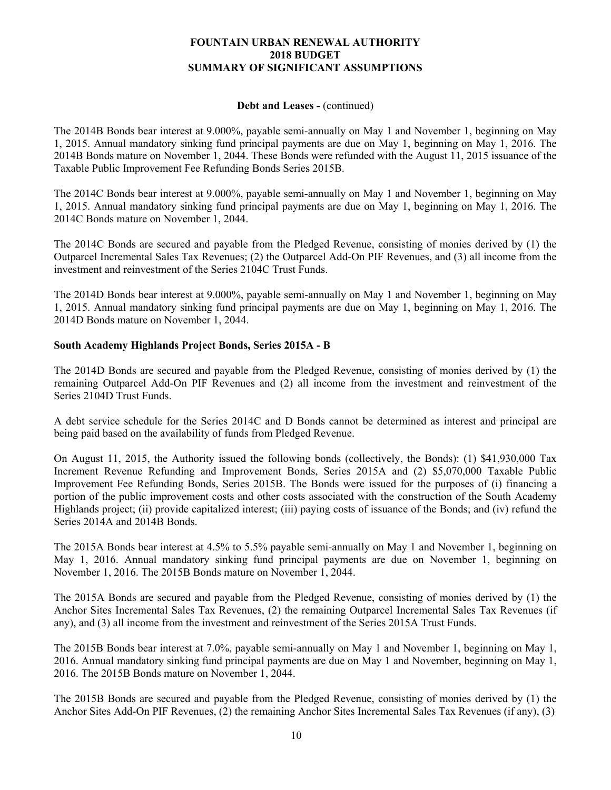#### **Debt and Leases -** (continued)

The 2014B Bonds bear interest at 9.000%, payable semi-annually on May 1 and November 1, beginning on May 1, 2015. Annual mandatory sinking fund principal payments are due on May 1, beginning on May 1, 2016. The 2014B Bonds mature on November 1, 2044. These Bonds were refunded with the August 11, 2015 issuance of the Taxable Public Improvement Fee Refunding Bonds Series 2015B.

The 2014C Bonds bear interest at 9.000%, payable semi-annually on May 1 and November 1, beginning on May 1, 2015. Annual mandatory sinking fund principal payments are due on May 1, beginning on May 1, 2016. The 2014C Bonds mature on November 1, 2044.

The 2014C Bonds are secured and payable from the Pledged Revenue, consisting of monies derived by (1) the Outparcel Incremental Sales Tax Revenues; (2) the Outparcel Add-On PIF Revenues, and (3) all income from the investment and reinvestment of the Series 2104C Trust Funds.

The 2014D Bonds bear interest at 9.000%, payable semi-annually on May 1 and November 1, beginning on May 1, 2015. Annual mandatory sinking fund principal payments are due on May 1, beginning on May 1, 2016. The 2014D Bonds mature on November 1, 2044.

# **South Academy Highlands Project Bonds, Series 2015A - B**

The 2014D Bonds are secured and payable from the Pledged Revenue, consisting of monies derived by (1) the remaining Outparcel Add-On PIF Revenues and (2) all income from the investment and reinvestment of the Series 2104D Trust Funds.

A debt service schedule for the Series 2014C and D Bonds cannot be determined as interest and principal are being paid based on the availability of funds from Pledged Revenue.

On August 11, 2015, the Authority issued the following bonds (collectively, the Bonds): (1) \$41,930,000 Tax Increment Revenue Refunding and Improvement Bonds, Series 2015A and (2) \$5,070,000 Taxable Public Improvement Fee Refunding Bonds, Series 2015B. The Bonds were issued for the purposes of (i) financing a portion of the public improvement costs and other costs associated with the construction of the South Academy Highlands project; (ii) provide capitalized interest; (iii) paying costs of issuance of the Bonds; and (iv) refund the Series 2014A and 2014B Bonds.

The 2015A Bonds bear interest at 4.5% to 5.5% payable semi-annually on May 1 and November 1, beginning on May 1, 2016. Annual mandatory sinking fund principal payments are due on November 1, beginning on November 1, 2016. The 2015B Bonds mature on November 1, 2044.

The 2015A Bonds are secured and payable from the Pledged Revenue, consisting of monies derived by (1) the Anchor Sites Incremental Sales Tax Revenues, (2) the remaining Outparcel Incremental Sales Tax Revenues (if any), and (3) all income from the investment and reinvestment of the Series 2015A Trust Funds.

The 2015B Bonds bear interest at 7.0%, payable semi-annually on May 1 and November 1, beginning on May 1, 2016. Annual mandatory sinking fund principal payments are due on May 1 and November, beginning on May 1, 2016. The 2015B Bonds mature on November 1, 2044.

The 2015B Bonds are secured and payable from the Pledged Revenue, consisting of monies derived by (1) the Anchor Sites Add-On PIF Revenues, (2) the remaining Anchor Sites Incremental Sales Tax Revenues (if any), (3)